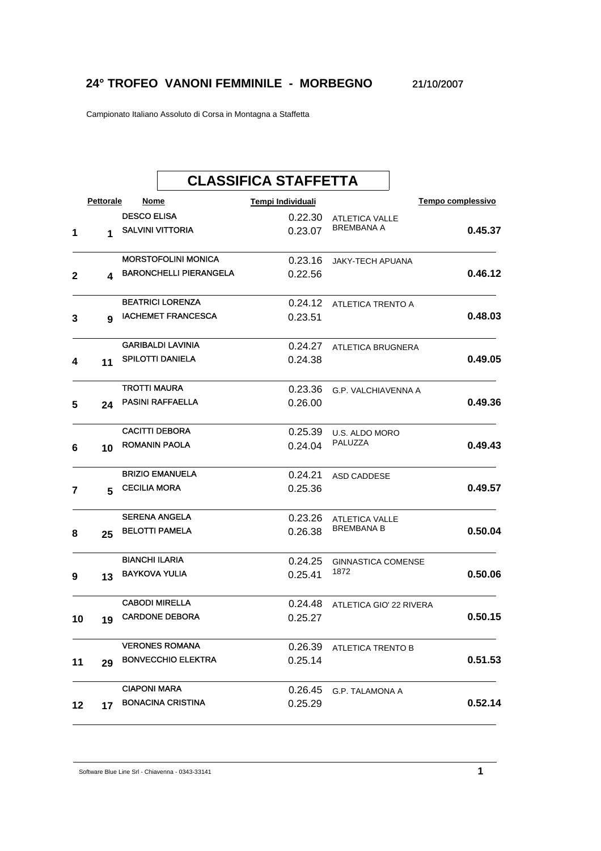## **24° TROFEO VANONI FEMMINILE - MORBEGNO** 21/10/2007

Campionato Italiano Assoluto di Corsa in Montagna a Staffetta

|    |           |                       |                               | <b>CLASSIFICA STAFFETTA</b> |                            |                   |         |
|----|-----------|-----------------------|-------------------------------|-----------------------------|----------------------------|-------------------|---------|
|    | Pettorale | Nome                  |                               | Tempi Individuali           |                            | Tempo complessivo |         |
|    |           | <b>DESCO ELISA</b>    |                               | 0.22.30                     | <b>ATLETICA VALLE</b>      |                   |         |
| 1  | 1         |                       | <b>SALVINI VITTORIA</b>       | 0.23.07                     | <b>BREMBANA A</b>          |                   | 0.45.37 |
|    |           |                       | <b>MORSTOFOLINI MONICA</b>    | 0.23.16                     | <b>JAKY-TECH APUANA</b>    |                   |         |
| 2  | 4         |                       | <b>BARONCHELLI PIERANGELA</b> | 0.22.56                     |                            |                   | 0.46.12 |
|    |           |                       | <b>BEATRICI LORENZA</b>       | 0.24.12                     | ATLETICA TRENTO A          |                   |         |
| 3  | 9         |                       | <b>IACHEMET FRANCESCA</b>     | 0.23.51                     |                            |                   | 0.48.03 |
|    |           |                       | <b>GARIBALDI LAVINIA</b>      | 0.24.27                     | ATLETICA BRUGNERA          |                   |         |
| 4  | 11        |                       | <b>SPILOTTI DANIELA</b>       | 0.24.38                     |                            |                   | 0.49.05 |
|    |           | <b>TROTTI MAURA</b>   |                               | 0.23.36                     | <b>G.P. VALCHIAVENNA A</b> |                   |         |
| 5  | 24        |                       | <b>PASINI RAFFAELLA</b>       | 0.26.00                     |                            |                   | 0.49.36 |
|    |           | <b>CACITTI DEBORA</b> |                               | 0.25.39                     | U.S. ALDO MORO             |                   |         |
| 6  | 10        | <b>ROMANIN PAOLA</b>  |                               | 0.24.04                     | PALUZZA                    |                   | 0.49.43 |
|    |           |                       | <b>BRIZIO EMANUELA</b>        | 0.24.21                     | ASD CADDESE                |                   |         |
| 7  | 5         | <b>CECILIA MORA</b>   |                               | 0.25.36                     |                            |                   | 0.49.57 |
|    |           |                       | <b>SERENA ANGELA</b>          | 0.23.26                     | <b>ATLETICA VALLE</b>      |                   |         |
| 8  | 25        |                       | <b>BELOTTI PAMELA</b>         | 0.26.38                     | BREMBANA B                 |                   | 0.50.04 |
|    |           | <b>BIANCHI ILARIA</b> |                               | 0.24.25                     | <b>GINNASTICA COMENSE</b>  |                   |         |
| 9  | 13        | <b>BAYKOVA YULIA</b>  |                               | 0.25.41                     | 1872                       |                   | 0.50.06 |
|    |           | <b>CABODI MIRELLA</b> |                               | 0.24.48                     | ATLETICA GIO' 22 RIVERA    |                   |         |
| 10 | 19        |                       | <b>CARDONE DEBORA</b>         | 0.25.27                     |                            |                   | 0.50.15 |
|    |           |                       | <b>VERONES ROMANA</b>         | 0.26.39                     | ATLETICA TRENTO B          |                   |         |
| 11 | 29        |                       | <b>BONVECCHIO ELEKTRA</b>     | 0.25.14                     |                            |                   | 0.51.53 |
|    |           | <b>CIAPONI MARA</b>   |                               | 0.26.45                     | G.P. TALAMONA A            |                   |         |
| 12 | 17        |                       | <b>BONACINA CRISTINA</b>      | 0.25.29                     |                            |                   | 0.52.14 |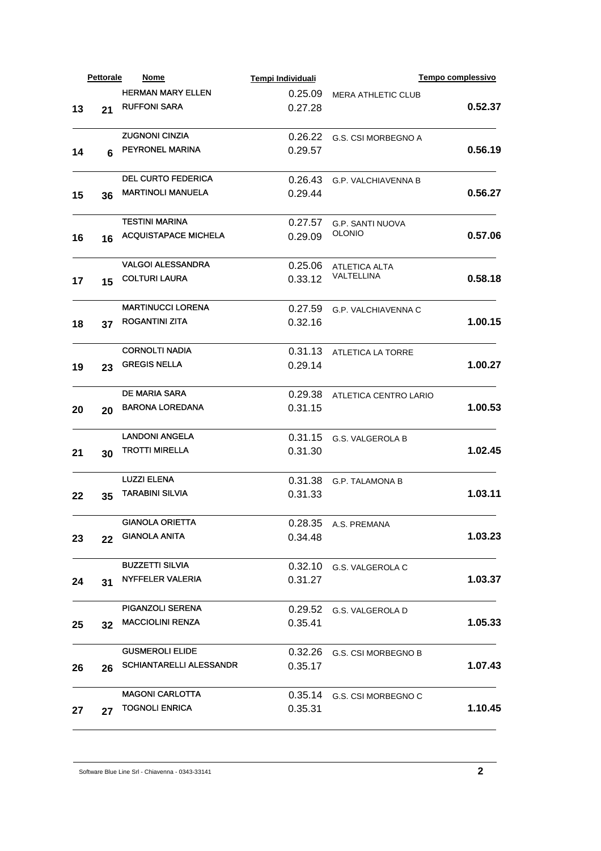|    | <b>Pettorale</b> | Nome                           | Tempi Individuali |                            | Tempo complessivo |
|----|------------------|--------------------------------|-------------------|----------------------------|-------------------|
|    |                  | <b>HERMAN MARY ELLEN</b>       | 0.25.09           | <b>MERA ATHLETIC CLUB</b>  |                   |
| 13 | 21               | <b>RUFFONI SARA</b>            | 0.27.28           |                            | 0.52.37           |
|    |                  |                                |                   |                            |                   |
|    |                  | <b>ZUGNONI CINZIA</b>          | 0.26.22           | G.S. CSI MORBEGNO A        |                   |
| 14 | 6                | PEYRONEL MARINA                | 0.29.57           |                            | 0.56.19           |
|    |                  |                                |                   |                            |                   |
|    |                  | <b>DEL CURTO FEDERICA</b>      | 0.26.43           | <b>G.P. VALCHIAVENNA B</b> |                   |
| 15 | 36               | <b>MARTINOLI MANUELA</b>       | 0.29.44           |                            | 0.56.27           |
|    |                  |                                |                   |                            |                   |
|    |                  | <b>TESTINI MARINA</b>          | 0.27.57           | <b>G.P. SANTI NUOVA</b>    |                   |
| 16 | 16               | <b>ACQUISTAPACE MICHELA</b>    | 0.29.09           | <b>OLONIO</b>              | 0.57.06           |
|    |                  |                                |                   |                            |                   |
|    |                  | <b>VALGOI ALESSANDRA</b>       | 0.25.06           | <b>ATLETICA ALTA</b>       |                   |
| 17 | 15               | <b>COLTURI LAURA</b>           | 0.33.12           | VALTELLINA                 | 0.58.18           |
|    |                  |                                |                   |                            |                   |
|    |                  | <b>MARTINUCCI LORENA</b>       | 0.27.59           | G.P. VALCHIAVENNA C        |                   |
| 18 | 37               | <b>ROGANTINI ZITA</b>          | 0.32.16           |                            | 1.00.15           |
|    |                  |                                |                   |                            |                   |
|    |                  | <b>CORNOLTI NADIA</b>          | 0.31.13           | <b>ATLETICA LA TORRE</b>   |                   |
|    |                  | <b>GREGIS NELLA</b>            | 0.29.14           |                            | 1.00.27           |
| 19 | 23               |                                |                   |                            |                   |
|    |                  | <b>DE MARIA SARA</b>           | 0.29.38           |                            |                   |
|    |                  | <b>BARONA LOREDANA</b>         | 0.31.15           | ATLETICA CENTRO LARIO      | 1.00.53           |
| 20 | 20               |                                |                   |                            |                   |
|    |                  | <b>LANDONI ANGELA</b>          | 0.31.15           | G.S. VALGEROLA B           |                   |
|    |                  | <b>TROTTI MIRELLA</b>          | 0.31.30           |                            | 1.02.45           |
| 21 | 30               |                                |                   |                            |                   |
|    |                  | <b>LUZZI ELENA</b>             | 0.31.38           |                            |                   |
|    |                  | <b>TARABINI SILVIA</b>         | 0.31.33           | <b>G.P. TALAMONA B</b>     | 1.03.11           |
| 22 | 35               |                                |                   |                            |                   |
|    |                  | <b>GIANOLA ORIETTA</b>         |                   |                            |                   |
|    |                  | <b>GIANOLA ANITA</b>           | 0.34.48           | 0.28.35 A.S. PREMANA       | 1.03.23           |
| 23 | 22               |                                |                   |                            |                   |
|    |                  | <b>BUZZETTI SILVIA</b>         |                   |                            |                   |
|    |                  | <b>NYFFELER VALERIA</b>        | 0.31.27           | 0.32.10 G.S. VALGEROLA C   | 1.03.37           |
| 24 | 31               |                                |                   |                            |                   |
|    |                  | <b>PIGANZOLI SERENA</b>        | 0.29.52           |                            |                   |
|    |                  | <b>MACCIOLINI RENZA</b>        |                   | G.S. VALGEROLA D           | 1.05.33           |
| 25 | 32               |                                | 0.35.41           |                            |                   |
|    |                  | <b>GUSMEROLI ELIDE</b>         |                   |                            |                   |
|    |                  | <b>SCHIANTARELLI ALESSANDR</b> | 0.32.26           | G.S. CSI MORBEGNO B        |                   |
| 26 | 26               |                                | 0.35.17           |                            | 1.07.43           |
|    |                  |                                |                   |                            |                   |
|    |                  | <b>MAGONI CARLOTTA</b>         | 0.35.14           | G.S. CSI MORBEGNO C        |                   |
| 27 | 27               | <b>TOGNOLI ENRICA</b>          | 0.35.31           |                            | 1.10.45           |
|    |                  |                                |                   |                            |                   |

Software Blue Line Srl - Chiavenna - 0343-33141 **2**